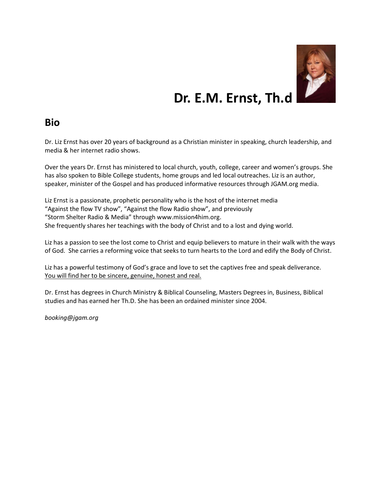

## **Dr. E.M. Ernst, Th.d**

## **Bio**

Dr. Liz Ernst has over 20 years of background as a Christian minister in speaking, church leadership, and media & her internet radio shows.

Over the years Dr. Ernst has ministered to local church, youth, college, career and women's groups. She has also spoken to Bible College students, home groups and led local outreaches. Liz is an author, speaker, minister of the Gospel and has produced informative resources through JGAM.org media.

Liz Ernst is a passionate, prophetic personality who is the host of the internet media "Against the flow TV show", "Against the flow Radio show", and previously "Storm Shelter Radio & Media" through www.mission4him.org. She frequently shares her teachings with the body of Christ and to a lost and dying world.

Liz has a passion to see the lost come to Christ and equip believers to mature in their walk with the ways of God. She carries a reforming voice that seeks to turn hearts to the Lord and edify the Body of Christ.

Liz has a powerful testimony of God's grace and love to set the captives free and speak deliverance. You will find her to be sincere, genuine, honest and real.

Dr. Ernst has degrees in Church Ministry & Biblical Counseling, Masters Degrees in, Business, Biblical studies and has earned her Th.D. She has been an ordained minister since 2004.

*booking@jgam.org*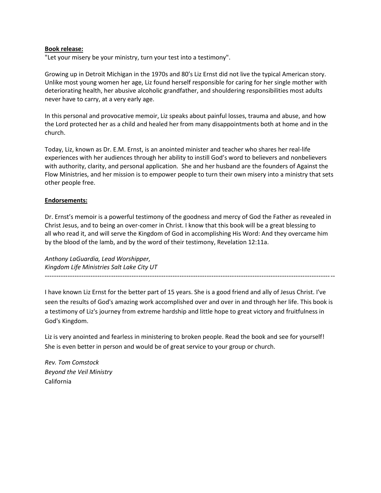## **Book release:**

"Let your misery be your ministry, turn your test into a testimony".

Growing up in Detroit Michigan in the 1970s and 80's Liz Ernst did not live the typical American story. Unlike most young women her age, Liz found herself responsible for caring for her single mother with deteriorating health, her abusive alcoholic grandfather, and shouldering responsibilities most adults never have to carry, at a very early age.

In this personal and provocative memoir, Liz speaks about painful losses, trauma and abuse, and how the Lord protected her as a child and healed her from many disappointments both at home and in the church.

Today, Liz, known as Dr. E.M. Ernst, is an anointed minister and teacher who shares her real-life experiences with her audiences through her ability to instill God's word to believers and nonbelievers with authority, clarity, and personal application. She and her husband are the founders of Against the Flow Ministries, and her mission is to empower people to turn their own misery into a ministry that sets other people free.

## **Endorsements:**

Dr. Ernst's memoir is a powerful testimony of the goodness and mercy of God the Father as revealed in Christ Jesus, and to being an over-comer in Christ. I know that this book will be a great blessing to all who read it, and will serve the Kingdom of God in accomplishing His Word: And they overcame him by the blood of the lamb, and by the word of their testimony, Revelation 12:11a.

*Anthony LaGuardia, Lead Worshipper, Kingdom Life Ministries Salt Lake City UT* -------------------------------------------------------------------------------------------------------------------------------

I have known Liz Ernst for the better part of 15 years. She is a good friend and ally of Jesus Christ. I've seen the results of God's amazing work accomplished over and over in and through her life. This book is a testimony of Liz's journey from extreme hardship and little hope to great victory and fruitfulness in God's Kingdom.

Liz is very anointed and fearless in ministering to broken people. Read the book and see for yourself! She is even better in person and would be of great service to your group or church.

*Rev. Tom Comstock Beyond the Veil Ministry* California